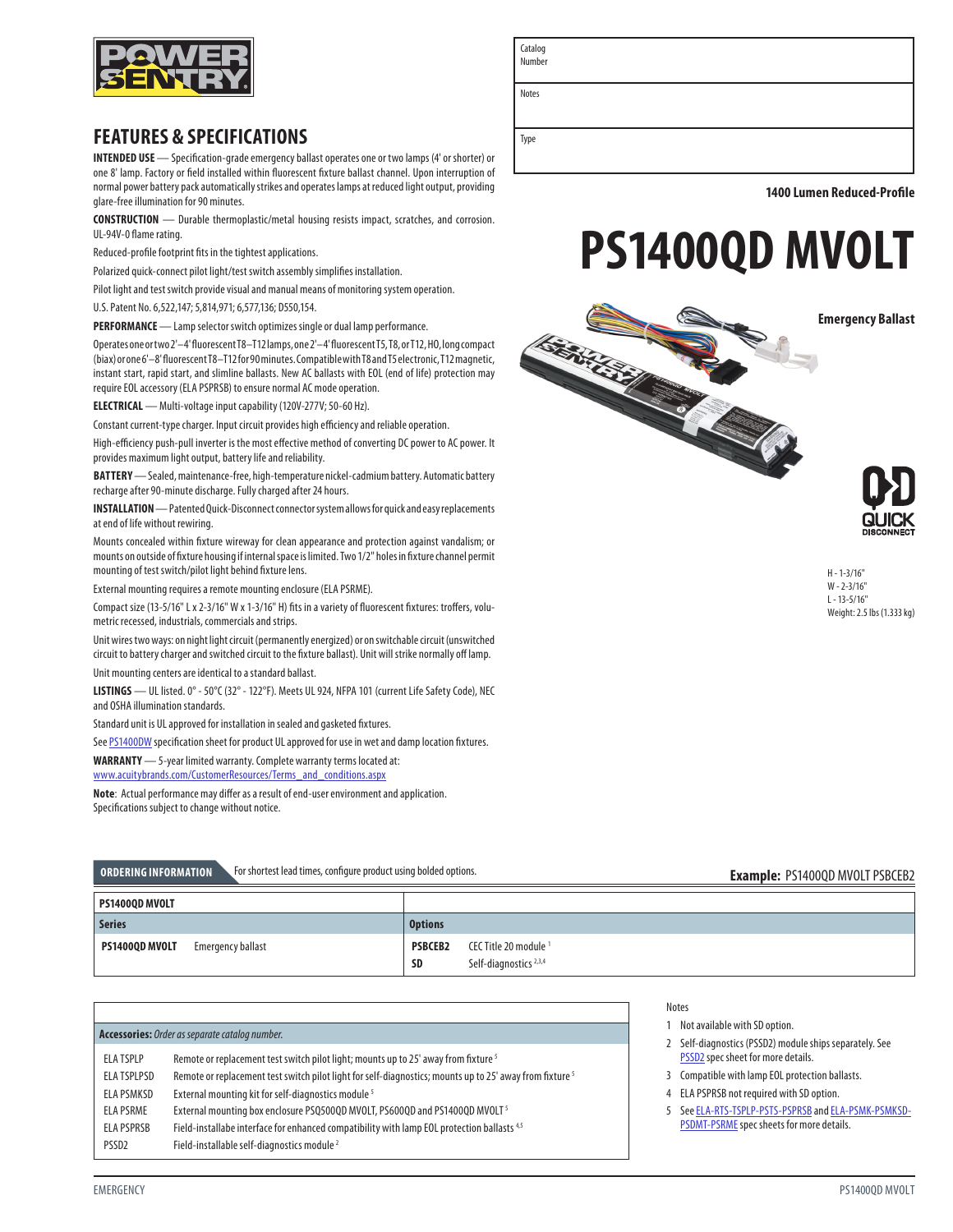

# **FEATURES & SPECIFICATIONS**

**INTENDED USE** — Specification-grade emergency ballast operates one or two lamps (4' or shorter) or one 8' lamp. Factory or field installed within fluorescent fixture ballast channel. Upon interruption of normal power battery pack automatically strikes and operates lamps at reduced light output, providing glare-free illumination for 90 minutes.

**CONSTRUCTION** — Durable thermoplastic/metal housing resists impact, scratches, and corrosion. UL-94V-0 flame rating.

Reduced-profile footprint fits in the tightest applications.

Polarized quick-connect pilot light/test switch assembly simplifies installation.

Pilot light and test switch provide visual and manual means of monitoring system operation.

U.S. Patent No. 6,522,147; 5,814,971; 6,577,136; D550,154.

**PERFORMANCE** — Lamp selector switch optimizes single or dual lamp performance.

Operates one or two 2'–4' fluorescent T8–T12 lamps, one 2'–4' fluorescent T5, T8, or T12, HO, long compact (biax) or one 6'–8' fluorescent T8–T12 for 90 minutes. Compatible with T8 and T5 electronic, T12 magnetic, instant start, rapid start, and slimline ballasts. New AC ballasts with EOL (end of life) protection may require EOL accessory (ELA PSPRSB) to ensure normal AC mode operation.

**ELECTRICAL** — Multi-voltage input capability (120V-277V; 50-60 Hz).

Constant current-type charger. Input circuit provides high efficiency and reliable operation.

High-efficiency push-pull inverter is the most effective method of converting DC power to AC power. It provides maximum light output, battery life and reliability.

**BATTERY** — Sealed, maintenance-free, high-temperature nickel-cadmium battery. Automatic battery recharge after 90-minute discharge. Fully charged after 24 hours.

**INSTALLATION** — Patented Quick-Disconnect connector system allows for quick and easy replacements at end of life without rewiring.

Mounts concealed within fixture wireway for clean appearance and protection against vandalism; or mounts on outside of fixture housing if internal space is limited. Two 1/2" holes in fixture channel permit mounting of test switch/pilot light behind fixture lens.

External mounting requires a remote mounting enclosure (ELA PSRME).

Compact size (13-5/16" L x 2-3/16" W x 1-3/16" H) fits in a variety of fluorescent fixtures: troffers, volumetric recessed, industrials, commercials and strips.

Unit wires two ways: on night light circuit (permanently energized) or on switchable circuit (unswitched circuit to battery charger and switched circuit to the fixture ballast). Unit will strike normally off lamp. Unit mounting centers are identical to a standard ballast.

**LISTINGS** — UL listed. 0° - 50°C (32° - 122°F). Meets UL 924, NFPA 101 (current Life Safety Code), NEC and OSHA illumination standards.

Standard unit is UL approved for installation in sealed and gasketed fixtures.

See [PS1400DW](http://www.acuitybrands.com/products/detail/272849/Power-Sentry/PS1400DW/Emergency-Ballast) specification sheet for product UL approved for use in wet and damp location fixtures.

**WARRANTY** — 5-year limited warranty. Complete warranty terms located at:

[www.acuitybrands.com/CustomerResources/Terms\\_and\\_conditions.aspx](http://www.acuitybrands.com/CustomerResources/Terms_and_conditions.aspx)

**Note**: Actual performance may differ as a result of end-user environment and application. Specifications subject to change without notice.

| For shortest lead times, configure product using bolded options.<br>ORDERING INFORMATION |                                            | <b>Example: PS1400QD MVOLT PSBCEB2</b> |
|------------------------------------------------------------------------------------------|--------------------------------------------|----------------------------------------|
| PS14000D MVOLT                                                                           |                                            |                                        |
|                                                                                          |                                            |                                        |
| <b>Series</b>                                                                            | <b>Options</b>                             |                                        |
| PS1400QD MVOLT<br>Emergency ballast                                                      | <b>PSBCEB2</b><br>CEC Title 20 module $^1$ |                                        |

**SD** Self-diagnostics<sup>2,3,4</sup>

**1400 Lumen Reduced-Profile**





H - 1-3/16" W - 2-3/16"  $L - 13 - 5/16$ " Weight: 2.5 lbs (1.333 kg)

Notes

- 1 Not available with SD option.
- 2 Self-diagnostics (PSSD2) module ships separately. See [PSSD2](http://www.acuitybrands.com/-/media/products/Power_Sentry/272933/document/PSSD2_pdf.pdf) spec sheet for more details.
- 3 Compatible with lamp EOL protection ballasts.
- 4 ELA PSPRSB not required with SD option.
- 5 See [ELA-RTS-TSPLP-PSTS-PSPRSB](http://www.acuitybrandslighting.com/library/LL/documents/specsheets/ELA-RTS-TSPLP-PSTS-PSPRSB.pdf) and [ELA-PSMK-PSMKSD-](http://www.acuitybrandslighting.com/library/LL/documents/specsheets/ELA-PSMK-PSMKSD-PSDMT-PSRME.pdf)[PSDMT-PSRME](http://www.acuitybrandslighting.com/library/LL/documents/specsheets/ELA-PSMK-PSMKSD-PSDMT-PSRME.pdf) spec sheets for more details.

Catalog Numbe

Notes